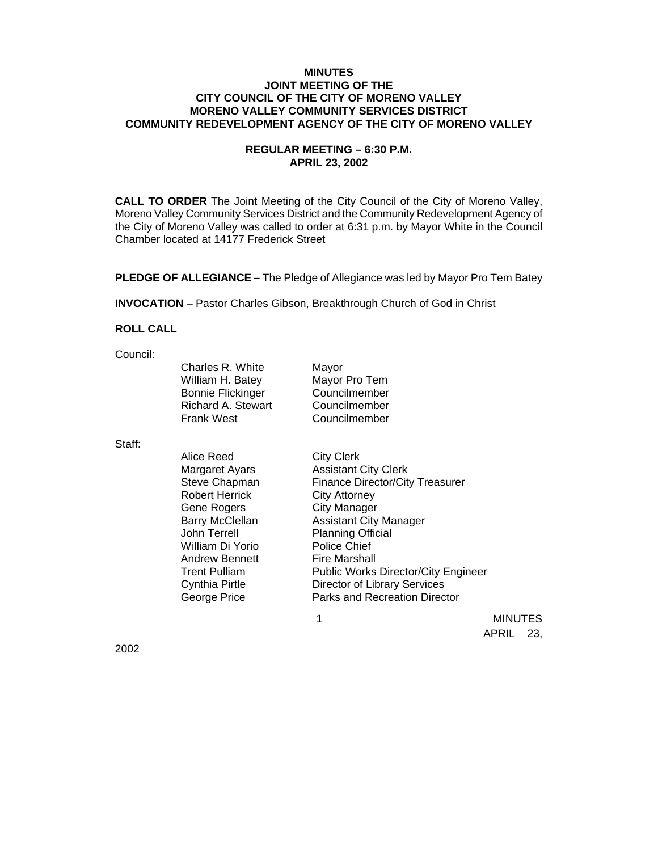# **MINUTES JOINT MEETING OF THE CITY COUNCIL OF THE CITY OF MORENO VALLEY MORENO VALLEY COMMUNITY SERVICES DISTRICT COMMUNITY REDEVELOPMENT AGENCY OF THE CITY OF MORENO VALLEY**

# **REGULAR MEETING – 6:30 P.M. APRIL 23, 2002**

**CALL TO ORDER** The Joint Meeting of the City Council of the City of Moreno Valley, Moreno Valley Community Services District and the Community Redevelopment Agency of the City of Moreno Valley was called to order at 6:31 p.m. by Mayor White in the Council Chamber located at 14177 Frederick Street

**PLEDGE OF ALLEGIANCE –** The Pledge of Allegiance was led by Mayor Pro Tem Batey

**INVOCATION** – Pastor Charles Gibson, Breakthrough Church of God in Christ

## **ROLL CALL**

Council:

| Charles R. White         | Mayor         |
|--------------------------|---------------|
| William H. Batey         | Mayor Pro Tem |
| <b>Bonnie Flickinger</b> | Councilmember |
| Richard A. Stewart       | Councilmember |
| Frank West               | Councilmember |

Staff:

| <b>Trent Pulliam</b><br><b>Public Works Director/City Engineer</b><br>Director of Library Services<br>Cynthia Pirtle<br><b>Parks and Recreation Director</b><br>George Price | Alice Reed<br><b>Margaret Ayars</b><br>Steve Chapman<br><b>Robert Herrick</b><br>Gene Rogers<br><b>Barry McClellan</b><br>John Terrell<br>William Di Yorio<br><b>Andrew Bennett</b> | <b>City Clerk</b><br><b>Assistant City Clerk</b><br><b>Finance Director/City Treasurer</b><br><b>City Attorney</b><br><b>City Manager</b><br><b>Assistant City Manager</b><br><b>Planning Official</b><br>Police Chief<br><b>Fire Marshall</b> |
|------------------------------------------------------------------------------------------------------------------------------------------------------------------------------|-------------------------------------------------------------------------------------------------------------------------------------------------------------------------------------|------------------------------------------------------------------------------------------------------------------------------------------------------------------------------------------------------------------------------------------------|
|------------------------------------------------------------------------------------------------------------------------------------------------------------------------------|-------------------------------------------------------------------------------------------------------------------------------------------------------------------------------------|------------------------------------------------------------------------------------------------------------------------------------------------------------------------------------------------------------------------------------------------|

 1 MINUTES APRIL 23,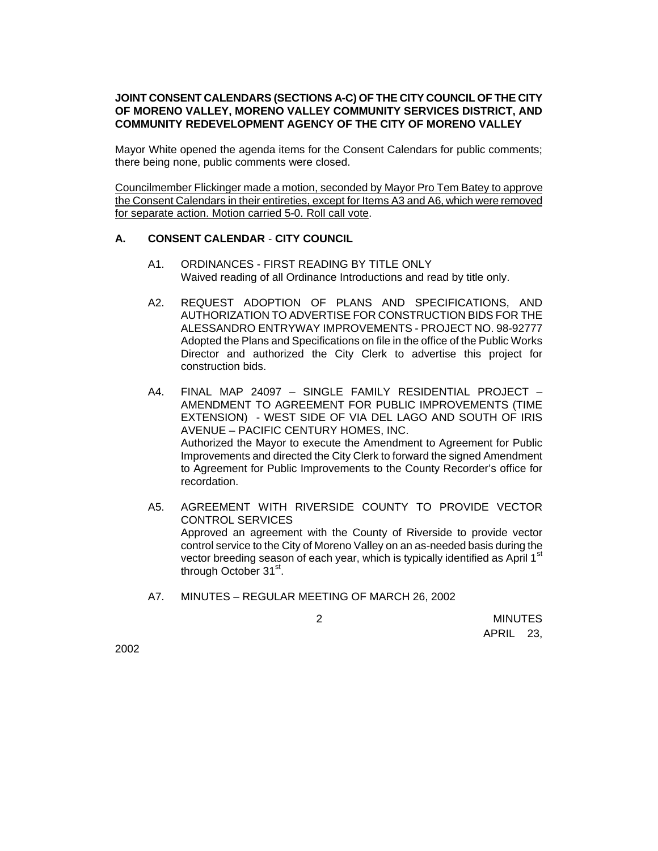# **JOINT CONSENT CALENDARS (SECTIONS A-C) OF THE CITY COUNCIL OF THE CITY OF MORENO VALLEY, MORENO VALLEY COMMUNITY SERVICES DISTRICT, AND COMMUNITY REDEVELOPMENT AGENCY OF THE CITY OF MORENO VALLEY**

Mayor White opened the agenda items for the Consent Calendars for public comments; there being none, public comments were closed.

Councilmember Flickinger made a motion, seconded by Mayor Pro Tem Batey to approve the Consent Calendars in their entireties, except for Items A3 and A6, which were removed for separate action. Motion carried 5-0. Roll call vote.

# **A. CONSENT CALENDAR** - **CITY COUNCIL**

- A1. ORDINANCES FIRST READING BY TITLE ONLY Waived reading of all Ordinance Introductions and read by title only.
- A2. REQUEST ADOPTION OF PLANS AND SPECIFICATIONS, AND AUTHORIZATION TO ADVERTISE FOR CONSTRUCTION BIDS FOR THE ALESSANDRO ENTRYWAY IMPROVEMENTS - PROJECT NO. 98-92777 Adopted the Plans and Specifications on file in the office of the Public Works Director and authorized the City Clerk to advertise this project for construction bids.
- A4. FINAL MAP 24097 SINGLE FAMILY RESIDENTIAL PROJECT AMENDMENT TO AGREEMENT FOR PUBLIC IMPROVEMENTS (TIME EXTENSION) - WEST SIDE OF VIA DEL LAGO AND SOUTH OF IRIS AVENUE – PACIFIC CENTURY HOMES, INC. Authorized the Mayor to execute the Amendment to Agreement for Public Improvements and directed the City Clerk to forward the signed Amendment to Agreement for Public Improvements to the County Recorder's office for recordation.
- A5. AGREEMENT WITH RIVERSIDE COUNTY TO PROVIDE VECTOR CONTROL SERVICES Approved an agreement with the County of Riverside to provide vector control service to the City of Moreno Valley on an as-needed basis during the vector breeding season of each year, which is typically identified as April 1<sup>st</sup> through October 31<sup>st</sup>.
- A7. MINUTES REGULAR MEETING OF MARCH 26, 2002

 2 MINUTES APRIL 23,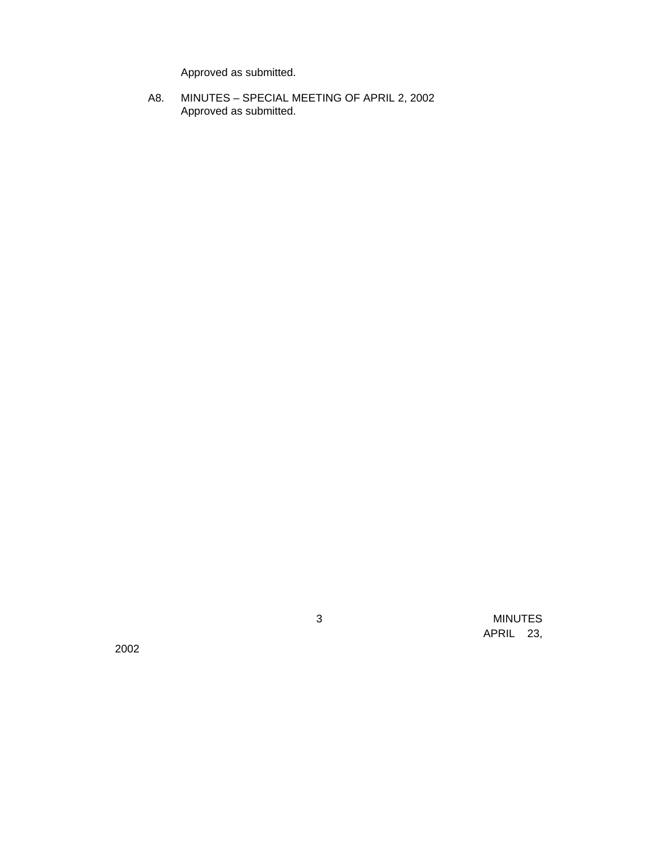Approved as submitted.

A8. MINUTES – SPECIAL MEETING OF APRIL 2, 2002 Approved as submitted.

2002

 3 MINUTES APRIL 23,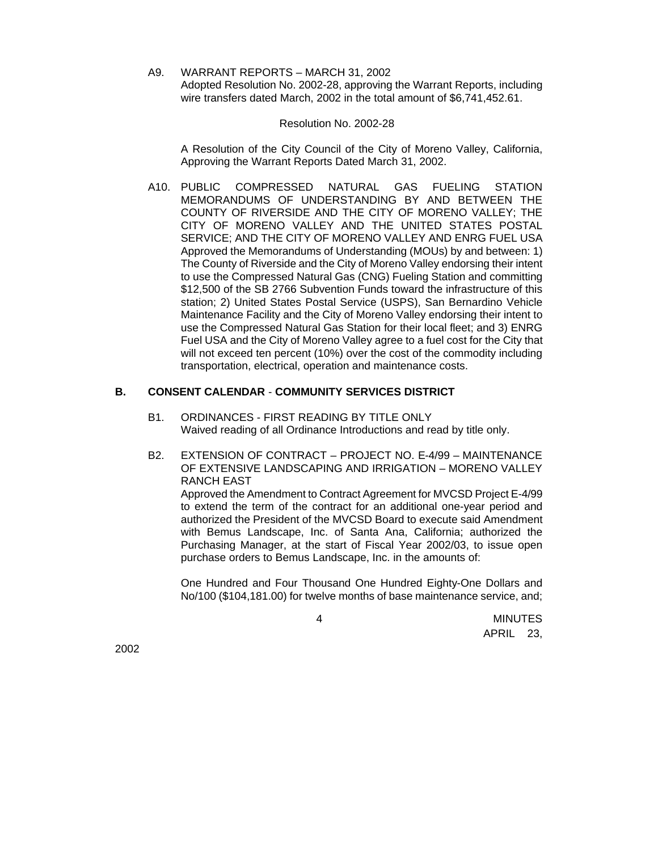A9. WARRANT REPORTS – MARCH 31, 2002 Adopted Resolution No. 2002-28, approving the Warrant Reports, including wire transfers dated March, 2002 in the total amount of \$6,741,452.61.

### Resolution No. 2002-28

A Resolution of the City Council of the City of Moreno Valley, California, Approving the Warrant Reports Dated March 31, 2002.

A10. PUBLIC COMPRESSED NATURAL GAS FUELING STATION MEMORANDUMS OF UNDERSTANDING BY AND BETWEEN THE COUNTY OF RIVERSIDE AND THE CITY OF MORENO VALLEY; THE CITY OF MORENO VALLEY AND THE UNITED STATES POSTAL SERVICE; AND THE CITY OF MORENO VALLEY AND ENRG FUEL USA Approved the Memorandums of Understanding (MOUs) by and between: 1) The County of Riverside and the City of Moreno Valley endorsing their intent to use the Compressed Natural Gas (CNG) Fueling Station and committing \$12,500 of the SB 2766 Subvention Funds toward the infrastructure of this station; 2) United States Postal Service (USPS), San Bernardino Vehicle Maintenance Facility and the City of Moreno Valley endorsing their intent to use the Compressed Natural Gas Station for their local fleet; and 3) ENRG Fuel USA and the City of Moreno Valley agree to a fuel cost for the City that will not exceed ten percent (10%) over the cost of the commodity including transportation, electrical, operation and maintenance costs.

# **B. CONSENT CALENDAR** - **COMMUNITY SERVICES DISTRICT**

- B1. ORDINANCES FIRST READING BY TITLE ONLY Waived reading of all Ordinance Introductions and read by title only.
- B2. EXTENSION OF CONTRACT PROJECT NO. E-4/99 MAINTENANCE OF EXTENSIVE LANDSCAPING AND IRRIGATION – MORENO VALLEY RANCH EAST Approved the Amendment to Contract Agreement for MVCSD Project E-4/99

to extend the term of the contract for an additional one-year period and authorized the President of the MVCSD Board to execute said Amendment with Bemus Landscape, Inc. of Santa Ana, California; authorized the Purchasing Manager, at the start of Fiscal Year 2002/03, to issue open purchase orders to Bemus Landscape, Inc. in the amounts of:

One Hundred and Four Thousand One Hundred Eighty-One Dollars and No/100 (\$104,181.00) for twelve months of base maintenance service, and;

 4 MINUTES APRIL 23,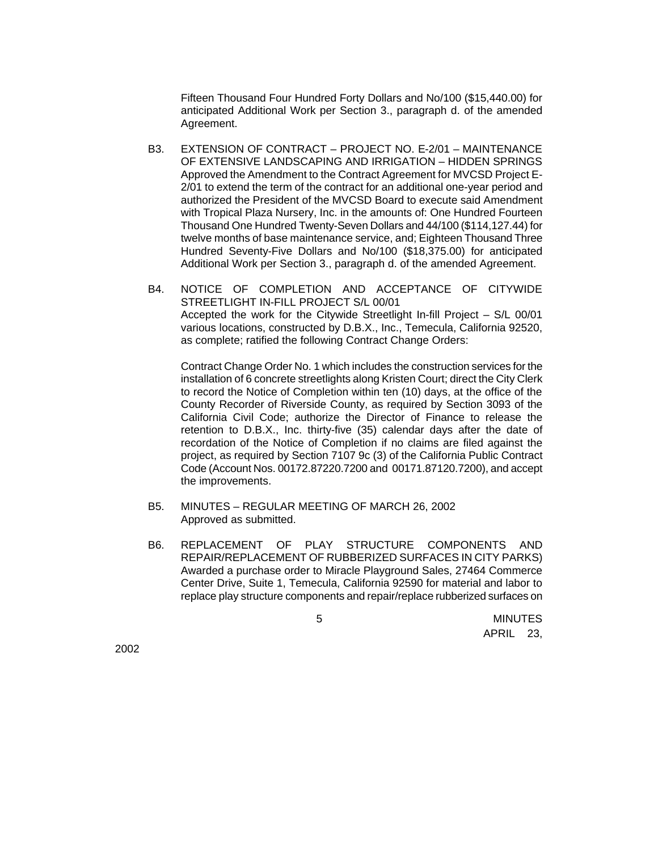Fifteen Thousand Four Hundred Forty Dollars and No/100 (\$15,440.00) for anticipated Additional Work per Section 3., paragraph d. of the amended Agreement.

- B3. EXTENSION OF CONTRACT PROJECT NO. E-2/01 MAINTENANCE OF EXTENSIVE LANDSCAPING AND IRRIGATION – HIDDEN SPRINGS Approved the Amendment to the Contract Agreement for MVCSD Project E-2/01 to extend the term of the contract for an additional one-year period and authorized the President of the MVCSD Board to execute said Amendment with Tropical Plaza Nursery, Inc. in the amounts of: One Hundred Fourteen Thousand One Hundred Twenty-Seven Dollars and 44/100 (\$114,127.44) for twelve months of base maintenance service, and; Eighteen Thousand Three Hundred Seventy-Five Dollars and No/100 (\$18,375.00) for anticipated Additional Work per Section 3., paragraph d. of the amended Agreement.
- B4. NOTICE OF COMPLETION AND ACCEPTANCE OF CITYWIDE STREETLIGHT IN-FILL PROJECT S/L 00/01 Accepted the work for the Citywide Streetlight In-fill Project – S/L 00/01 various locations, constructed by D.B.X., Inc., Temecula, California 92520, as complete; ratified the following Contract Change Orders:

Contract Change Order No. 1 which includes the construction services for the installation of 6 concrete streetlights along Kristen Court; direct the City Clerk to record the Notice of Completion within ten (10) days, at the office of the County Recorder of Riverside County, as required by Section 3093 of the California Civil Code; authorize the Director of Finance to release the retention to D.B.X., Inc. thirty-five (35) calendar days after the date of recordation of the Notice of Completion if no claims are filed against the project, as required by Section 7107 9c (3) of the California Public Contract Code (Account Nos. 00172.87220.7200 and 00171.87120.7200), and accept the improvements.

- B5. MINUTES REGULAR MEETING OF MARCH 26, 2002 Approved as submitted.
- B6. REPLACEMENT OF PLAY STRUCTURE COMPONENTS AND REPAIR/REPLACEMENT OF RUBBERIZED SURFACES IN CITY PARKS) Awarded a purchase order to Miracle Playground Sales, 27464 Commerce Center Drive, Suite 1, Temecula, California 92590 for material and labor to replace play structure components and repair/replace rubberized surfaces on

 5 MINUTES APRIL 23,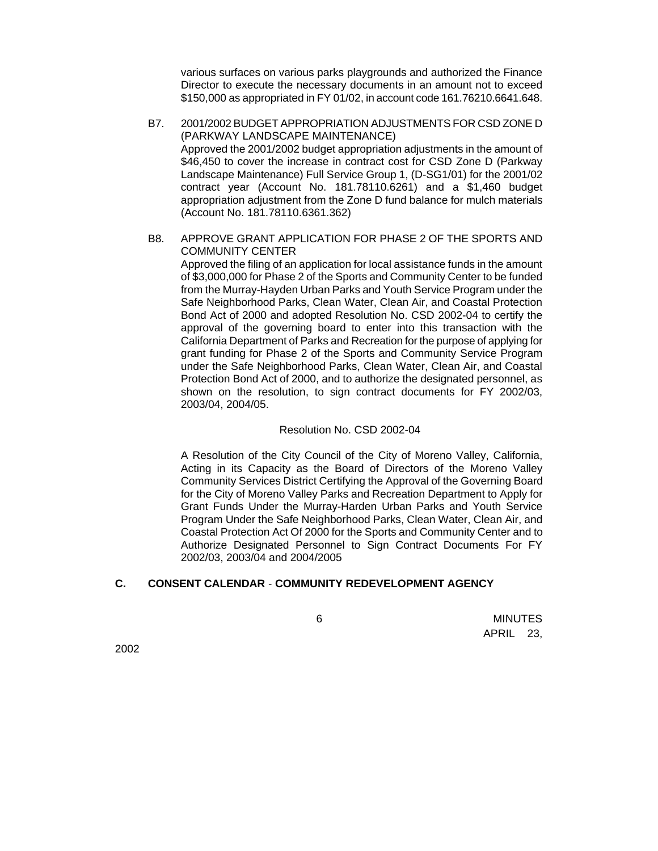various surfaces on various parks playgrounds and authorized the Finance Director to execute the necessary documents in an amount not to exceed \$150,000 as appropriated in FY 01/02, in account code 161.76210.6641.648.

- B7. 2001/2002 BUDGET APPROPRIATION ADJUSTMENTS FOR CSD ZONE D (PARKWAY LANDSCAPE MAINTENANCE) Approved the 2001/2002 budget appropriation adjustments in the amount of \$46,450 to cover the increase in contract cost for CSD Zone D (Parkway Landscape Maintenance) Full Service Group 1, (D-SG1/01) for the 2001/02 contract year (Account No. 181.78110.6261) and a \$1,460 budget appropriation adjustment from the Zone D fund balance for mulch materials (Account No. 181.78110.6361.362)
- B8. APPROVE GRANT APPLICATION FOR PHASE 2 OF THE SPORTS AND COMMUNITY CENTER

Approved the filing of an application for local assistance funds in the amount of \$3,000,000 for Phase 2 of the Sports and Community Center to be funded from the Murray-Hayden Urban Parks and Youth Service Program under the Safe Neighborhood Parks, Clean Water, Clean Air, and Coastal Protection Bond Act of 2000 and adopted Resolution No. CSD 2002-04 to certify the approval of the governing board to enter into this transaction with the California Department of Parks and Recreation for the purpose of applying for grant funding for Phase 2 of the Sports and Community Service Program under the Safe Neighborhood Parks, Clean Water, Clean Air, and Coastal Protection Bond Act of 2000, and to authorize the designated personnel, as shown on the resolution, to sign contract documents for FY 2002/03, 2003/04, 2004/05.

### Resolution No. CSD 2002-04

A Resolution of the City Council of the City of Moreno Valley, California, Acting in its Capacity as the Board of Directors of the Moreno Valley Community Services District Certifying the Approval of the Governing Board for the City of Moreno Valley Parks and Recreation Department to Apply for Grant Funds Under the Murray-Harden Urban Parks and Youth Service Program Under the Safe Neighborhood Parks, Clean Water, Clean Air, and Coastal Protection Act Of 2000 for the Sports and Community Center and to Authorize Designated Personnel to Sign Contract Documents For FY 2002/03, 2003/04 and 2004/2005

# **C. CONSENT CALENDAR** - **COMMUNITY REDEVELOPMENT AGENCY**

 6 MINUTES APRIL 23,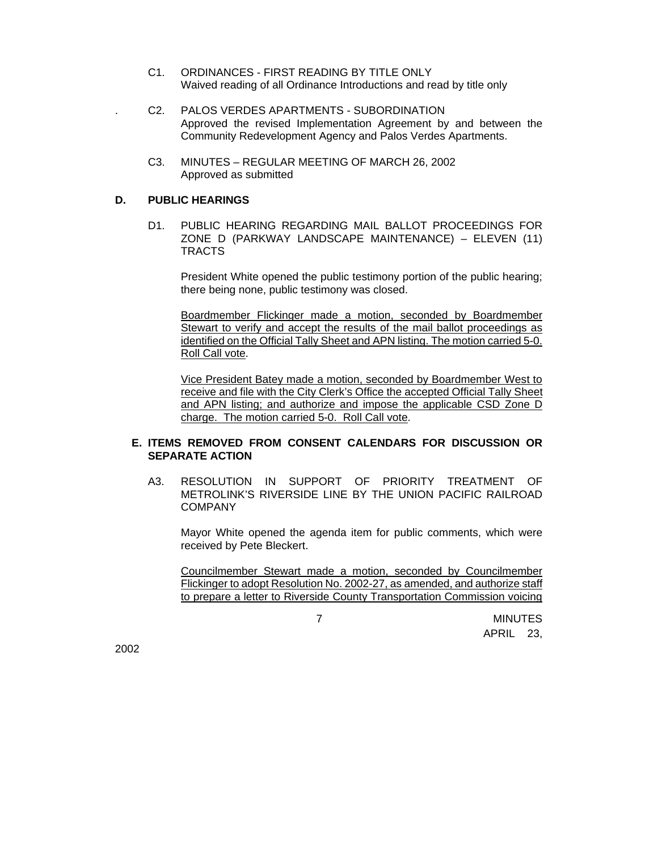- C1. ORDINANCES FIRST READING BY TITLE ONLY Waived reading of all Ordinance Introductions and read by title only
- . C2. PALOS VERDES APARTMENTS SUBORDINATION Approved the revised Implementation Agreement by and between the Community Redevelopment Agency and Palos Verdes Apartments.
	- C3. MINUTES REGULAR MEETING OF MARCH 26, 2002 Approved as submitted

#### **D. PUBLIC HEARINGS**

D1. PUBLIC HEARING REGARDING MAIL BALLOT PROCEEDINGS FOR ZONE D (PARKWAY LANDSCAPE MAINTENANCE) – ELEVEN (11) TRACTS

President White opened the public testimony portion of the public hearing; there being none, public testimony was closed.

Boardmember Flickinger made a motion, seconded by Boardmember Stewart to verify and accept the results of the mail ballot proceedings as identified on the Official Tally Sheet and APN listing. The motion carried 5-0. Roll Call vote.

Vice President Batey made a motion, seconded by Boardmember West to receive and file with the City Clerk's Office the accepted Official Tally Sheet and APN listing; and authorize and impose the applicable CSD Zone D charge. The motion carried 5-0. Roll Call vote.

## **E. ITEMS REMOVED FROM CONSENT CALENDARS FOR DISCUSSION OR SEPARATE ACTION**

A3. RESOLUTION IN SUPPORT OF PRIORITY TREATMENT OF METROLINK'S RIVERSIDE LINE BY THE UNION PACIFIC RAILROAD COMPANY

Mayor White opened the agenda item for public comments, which were received by Pete Bleckert.

Councilmember Stewart made a motion, seconded by Councilmember Flickinger to adopt Resolution No. 2002-27, as amended, and authorize staff to prepare a letter to Riverside County Transportation Commission voicing

 7 MINUTES APRIL 23,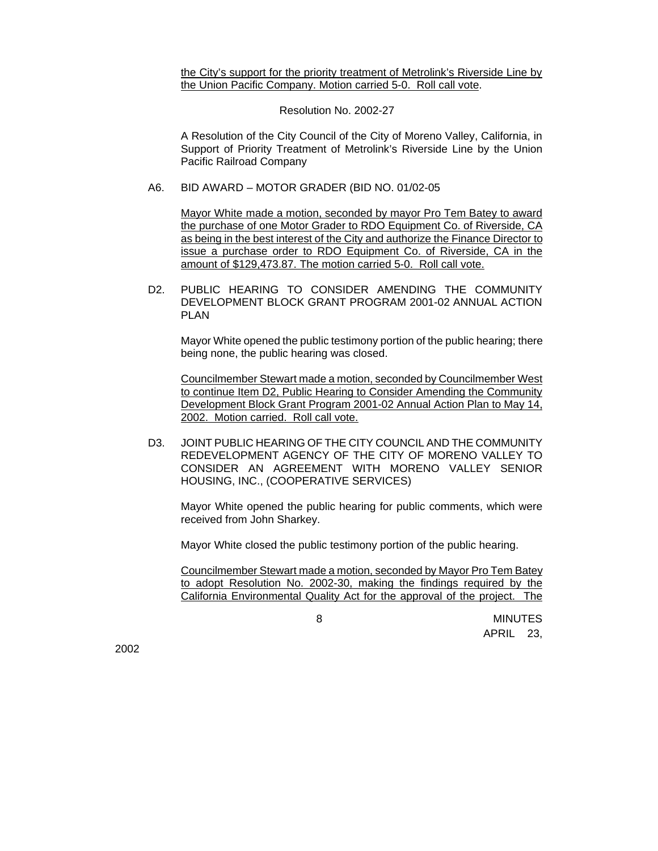the City's support for the priority treatment of Metrolink's Riverside Line by the Union Pacific Company. Motion carried 5-0. Roll call vote.

Resolution No. 2002-27

A Resolution of the City Council of the City of Moreno Valley, California, in Support of Priority Treatment of Metrolink's Riverside Line by the Union Pacific Railroad Company

A6. BID AWARD – MOTOR GRADER (BID NO. 01/02-05

Mayor White made a motion, seconded by mayor Pro Tem Batey to award the purchase of one Motor Grader to RDO Equipment Co. of Riverside, CA as being in the best interest of the City and authorize the Finance Director to issue a purchase order to RDO Equipment Co. of Riverside, CA in the amount of \$129,473.87. The motion carried 5-0. Roll call vote.

D2. PUBLIC HEARING TO CONSIDER AMENDING THE COMMUNITY DEVELOPMENT BLOCK GRANT PROGRAM 2001-02 ANNUAL ACTION PLAN

Mayor White opened the public testimony portion of the public hearing; there being none, the public hearing was closed.

Councilmember Stewart made a motion, seconded by Councilmember West to continue Item D2, Public Hearing to Consider Amending the Community Development Block Grant Program 2001-02 Annual Action Plan to May 14, 2002. Motion carried. Roll call vote.

D3. JOINT PUBLIC HEARING OF THE CITY COUNCIL AND THE COMMUNITY REDEVELOPMENT AGENCY OF THE CITY OF MORENO VALLEY TO CONSIDER AN AGREEMENT WITH MORENO VALLEY SENIOR HOUSING, INC., (COOPERATIVE SERVICES)

Mayor White opened the public hearing for public comments, which were received from John Sharkey.

Mayor White closed the public testimony portion of the public hearing.

Councilmember Stewart made a motion, seconded by Mayor Pro Tem Batey to adopt Resolution No. 2002-30, making the findings required by the California Environmental Quality Act for the approval of the project. The

 8 MINUTES APRIL 23,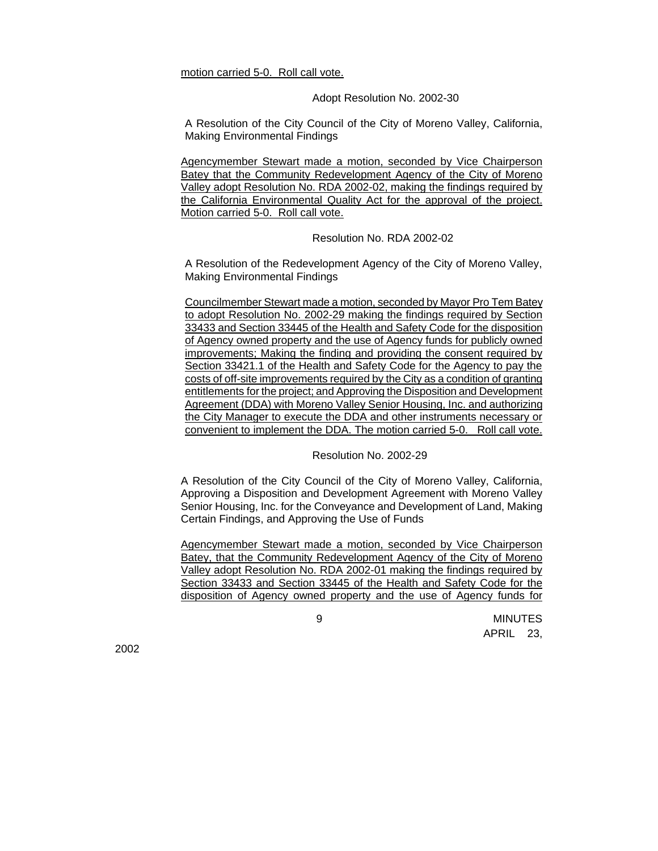motion carried 5-0. Roll call vote.

#### Adopt Resolution No. 2002-30

A Resolution of the City Council of the City of Moreno Valley, California, Making Environmental Findings

Agencymember Stewart made a motion, seconded by Vice Chairperson Batey that the Community Redevelopment Agency of the City of Moreno Valley adopt Resolution No. RDA 2002-02, making the findings required by the California Environmental Quality Act for the approval of the project. Motion carried 5-0. Roll call vote.

Resolution No. RDA 2002-02

A Resolution of the Redevelopment Agency of the City of Moreno Valley, Making Environmental Findings

Councilmember Stewart made a motion, seconded by Mayor Pro Tem Batey to adopt Resolution No. 2002-29 making the findings required by Section 33433 and Section 33445 of the Health and Safety Code for the disposition of Agency owned property and the use of Agency funds for publicly owned improvements; Making the finding and providing the consent required by Section 33421.1 of the Health and Safety Code for the Agency to pay the costs of off-site improvements required by the City as a condition of granting entitlements for the project; and Approving the Disposition and Development Agreement (DDA) with Moreno Valley Senior Housing, Inc. and authorizing the City Manager to execute the DDA and other instruments necessary or convenient to implement the DDA. The motion carried 5-0. Roll call vote.

Resolution No. 2002-29

A Resolution of the City Council of the City of Moreno Valley, California, Approving a Disposition and Development Agreement with Moreno Valley Senior Housing, Inc. for the Conveyance and Development of Land, Making Certain Findings, and Approving the Use of Funds

Agencymember Stewart made a motion, seconded by Vice Chairperson Batey, that the Community Redevelopment Agency of the City of Moreno Valley adopt Resolution No. RDA 2002-01 making the findings required by Section 33433 and Section 33445 of the Health and Safety Code for the disposition of Agency owned property and the use of Agency funds for

 9 MINUTES APRIL 23,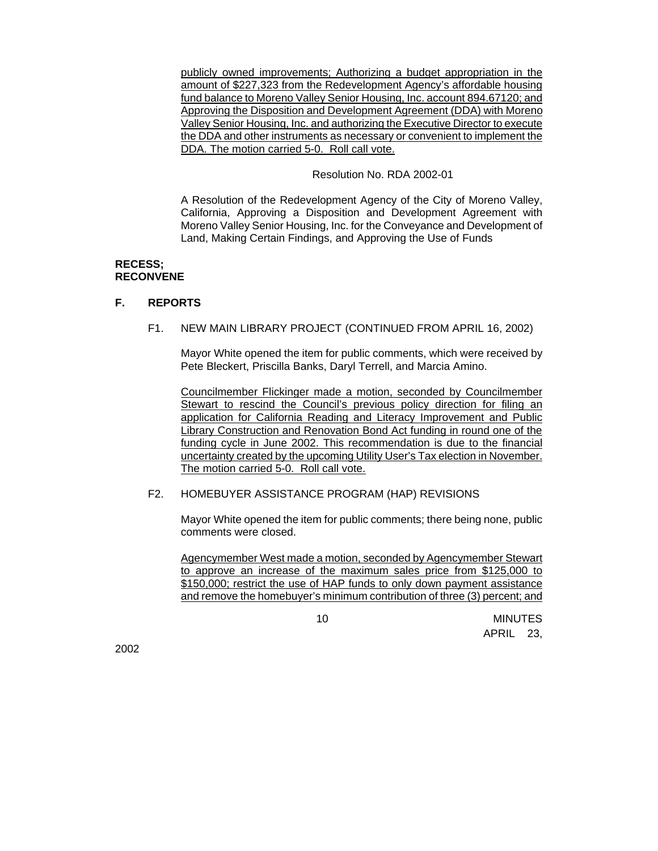publicly owned improvements; Authorizing a budget appropriation in the amount of \$227,323 from the Redevelopment Agency's affordable housing fund balance to Moreno Valley Senior Housing, Inc. account 894.67120; and Approving the Disposition and Development Agreement (DDA) with Moreno Valley Senior Housing, Inc. and authorizing the Executive Director to execute the DDA and other instruments as necessary or convenient to implement the DDA. The motion carried 5-0. Roll call vote.

Resolution No. RDA 2002-01

A Resolution of the Redevelopment Agency of the City of Moreno Valley, California, Approving a Disposition and Development Agreement with Moreno Valley Senior Housing, Inc. for the Conveyance and Development of Land, Making Certain Findings, and Approving the Use of Funds

### **RECESS; RECONVENE**

### **F. REPORTS**

F1. NEW MAIN LIBRARY PROJECT (CONTINUED FROM APRIL 16, 2002)

Mayor White opened the item for public comments, which were received by Pete Bleckert, Priscilla Banks, Daryl Terrell, and Marcia Amino.

Councilmember Flickinger made a motion, seconded by Councilmember Stewart to rescind the Council's previous policy direction for filing an application for California Reading and Literacy Improvement and Public Library Construction and Renovation Bond Act funding in round one of the funding cycle in June 2002. This recommendation is due to the financial uncertainty created by the upcoming Utility User's Tax election in November. The motion carried 5-0. Roll call vote.

F2. HOMEBUYER ASSISTANCE PROGRAM (HAP) REVISIONS

Mayor White opened the item for public comments; there being none, public comments were closed.

Agencymember West made a motion, seconded by Agencymember Stewart to approve an increase of the maximum sales price from \$125,000 to \$150,000; restrict the use of HAP funds to only down payment assistance and remove the homebuyer's minimum contribution of three (3) percent; and

 10 MINUTES APRIL 23,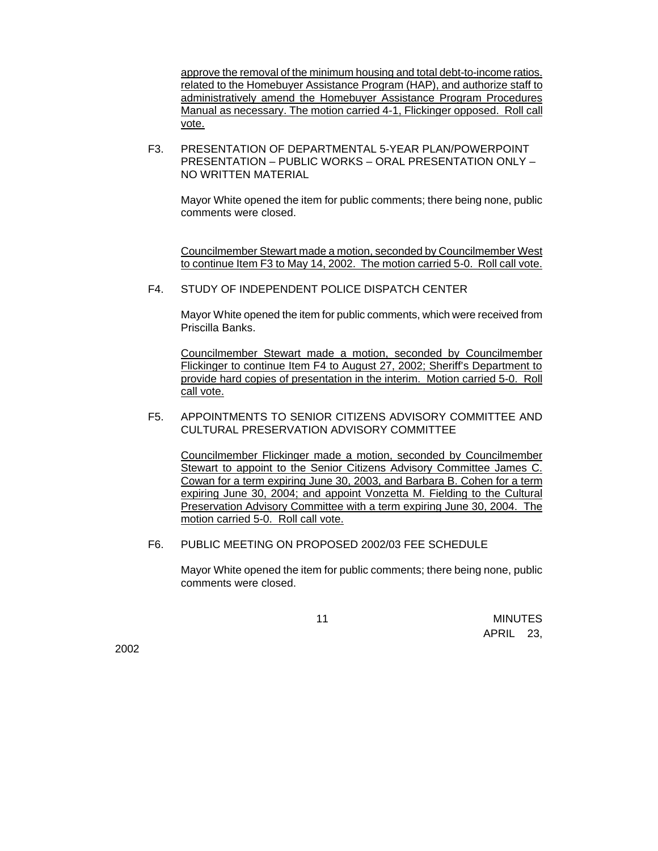approve the removal of the minimum housing and total debt-to-income ratios. related to the Homebuyer Assistance Program (HAP), and authorize staff to administratively amend the Homebuyer Assistance Program Procedures Manual as necessary. The motion carried 4-1, Flickinger opposed. Roll call vote.

F3. PRESENTATION OF DEPARTMENTAL 5-YEAR PLAN/POWERPOINT PRESENTATION – PUBLIC WORKS – ORAL PRESENTATION ONLY – NO WRITTEN MATERIAL

Mayor White opened the item for public comments; there being none, public comments were closed.

Councilmember Stewart made a motion, seconded by Councilmember West to continue Item F3 to May 14, 2002. The motion carried 5-0. Roll call vote.

# F4. STUDY OF INDEPENDENT POLICE DISPATCH CENTER

Mayor White opened the item for public comments, which were received from Priscilla Banks.

Councilmember Stewart made a motion, seconded by Councilmember Flickinger to continue Item F4 to August 27, 2002; Sheriff's Department to provide hard copies of presentation in the interim. Motion carried 5-0. Roll call vote.

### F5. APPOINTMENTS TO SENIOR CITIZENS ADVISORY COMMITTEE AND CULTURAL PRESERVATION ADVISORY COMMITTEE

Councilmember Flickinger made a motion, seconded by Councilmember Stewart to appoint to the Senior Citizens Advisory Committee James C. Cowan for a term expiring June 30, 2003, and Barbara B. Cohen for a term expiring June 30, 2004; and appoint Vonzetta M. Fielding to the Cultural Preservation Advisory Committee with a term expiring June 30, 2004. The motion carried 5-0. Roll call vote.

### F6. PUBLIC MEETING ON PROPOSED 2002/03 FEE SCHEDULE

Mayor White opened the item for public comments; there being none, public comments were closed.

 11 MINUTES APRIL 23,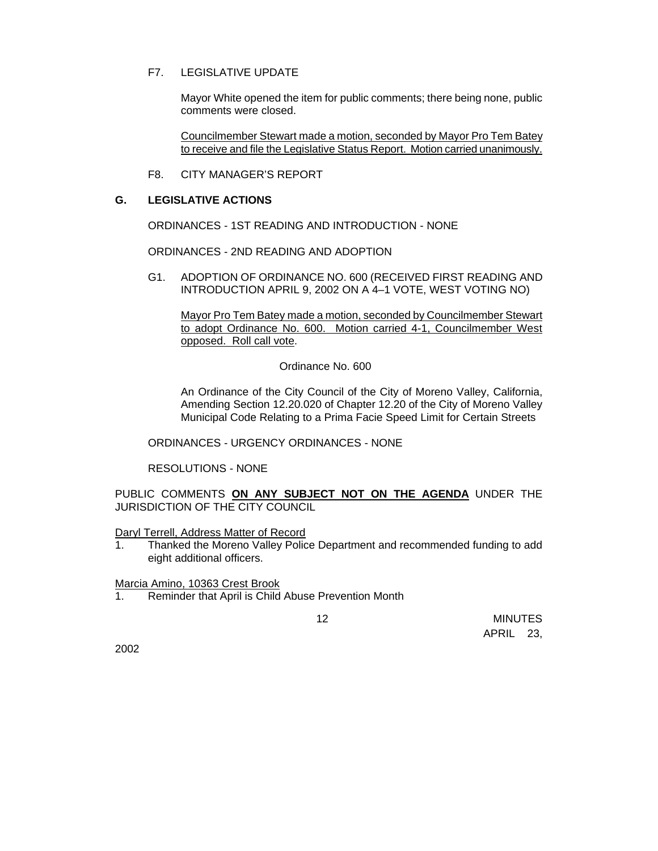# F7. LEGISLATIVE UPDATE

Mayor White opened the item for public comments; there being none, public comments were closed.

Councilmember Stewart made a motion, seconded by Mayor Pro Tem Batey to receive and file the Legislative Status Report.Motion carried unanimously.

F8. CITY MANAGER'S REPORT

### **G. LEGISLATIVE ACTIONS**

ORDINANCES - 1ST READING AND INTRODUCTION - NONE

ORDINANCES - 2ND READING AND ADOPTION

G1. ADOPTION OF ORDINANCE NO. 600 (RECEIVED FIRST READING AND INTRODUCTION APRIL 9, 2002 ON A 4–1 VOTE, WEST VOTING NO)

Mayor Pro Tem Batey made a motion, seconded by Councilmember Stewart to adopt Ordinance No. 600. Motion carried 4-1, Councilmember West opposed. Roll call vote.

Ordinance No. 600

An Ordinance of the City Council of the City of Moreno Valley, California, Amending Section 12.20.020 of Chapter 12.20 of the City of Moreno Valley Municipal Code Relating to a Prima Facie Speed Limit for Certain Streets

ORDINANCES - URGENCY ORDINANCES - NONE

RESOLUTIONS - NONE

PUBLIC COMMENTS **ON ANY SUBJECT NOT ON THE AGENDA** UNDER THE JURISDICTION OF THE CITY COUNCIL

Daryl Terrell, Address Matter of Record

1. Thanked the Moreno Valley Police Department and recommended funding to add eight additional officers.

Marcia Amino, 10363 Crest Brook

1. Reminder that April is Child Abuse Prevention Month

 12 MINUTES APRIL 23,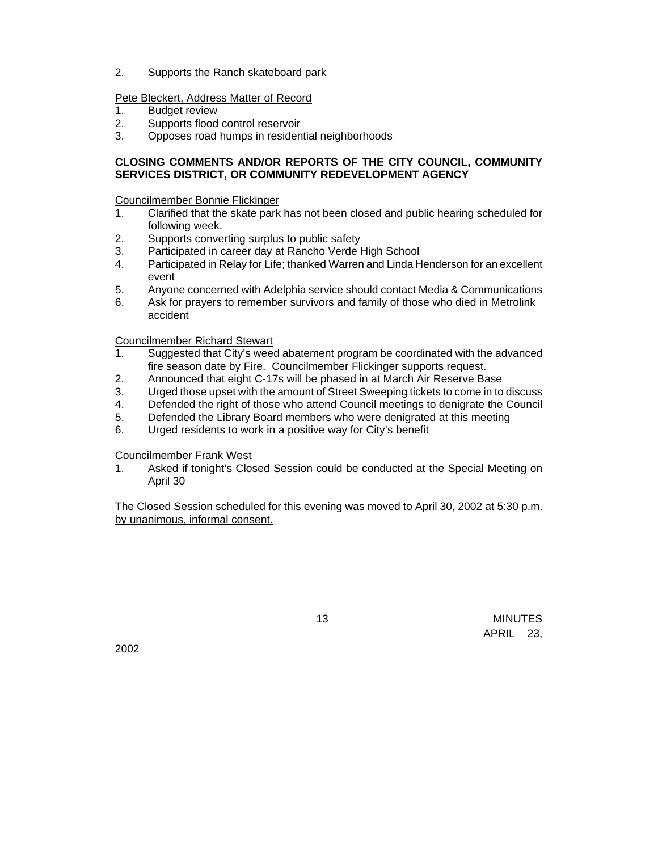2. Supports the Ranch skateboard park

# Pete Bleckert, Address Matter of Record

- 1. Budget review
- 2. Supports flood control reservoir
- 3. Opposes road humps in residential neighborhoods

# **CLOSING COMMENTS AND/OR REPORTS OF THE CITY COUNCIL, COMMUNITY SERVICES DISTRICT, OR COMMUNITY REDEVELOPMENT AGENCY**

Councilmember Bonnie Flickinger

- 1. Clarified that the skate park has not been closed and public hearing scheduled for following week.
- 2. Supports converting surplus to public safety
- 3. Participated in career day at Rancho Verde High School
- 4. Participated in Relay for Life; thanked Warren and Linda Henderson for an excellent event
- 5. Anyone concerned with Adelphia service should contact Media & Communications
- 6. Ask for prayers to remember survivors and family of those who died in Metrolink accident

Councilmember Richard Stewart

- 1. Suggested that City's weed abatement program be coordinated with the advanced fire season date by Fire. Councilmember Flickinger supports request.
- 2. Announced that eight C-17s will be phased in at March Air Reserve Base
- 3. Urged those upset with the amount of Street Sweeping tickets to come in to discuss
- 4. Defended the right of those who attend Council meetings to denigrate the Council
- 5. Defended the Library Board members who were denigrated at this meeting
- 6. Urged residents to work in a positive way for City's benefit

Councilmember Frank West

1. Asked if tonight's Closed Session could be conducted at the Special Meeting on April 30

The Closed Session scheduled for this evening was moved to April 30, 2002 at 5:30 p.m. by unanimous, informal consent.

 13 MINUTES APRIL 23,